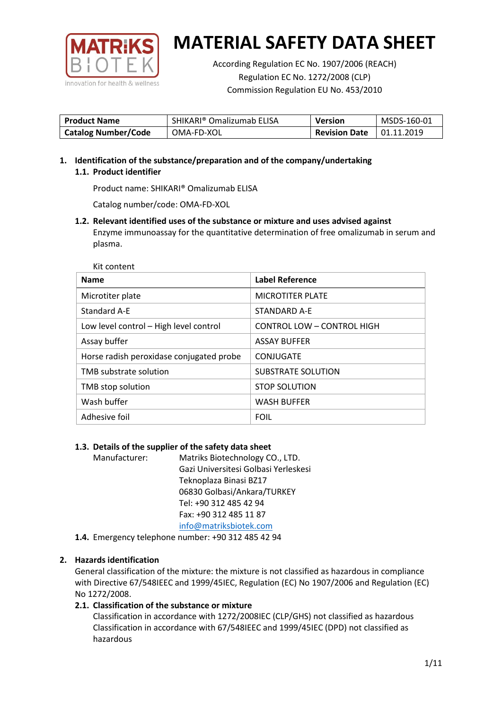

According Regulation EC No. 1907/2006 (REACH) Regulation EC No. 1272/2008 (CLP) Commission Regulation EU No. 453/2010

| <b>Product Name</b>        | SHIKARI <sup>®</sup> Omalizumab ELISA | Version              | MSDS-160-01 |
|----------------------------|---------------------------------------|----------------------|-------------|
| <b>Catalog Number/Code</b> | OMA-FD-XOL                            | <b>Revision Date</b> | 01.11.2019  |

**1. Identification of the substance/preparation and of the company/undertaking 1.1. Product identifier**

Product name: SHIKARI® Omalizumab ELISA

Catalog number/code: OMA-FD-XOL

**1.2. Relevant identified uses of the substance or mixture and uses advised against** Enzyme immunoassay for the quantitative determination of free omalizumab in serum and plasma.

Kit content

| <b>Name</b>                              | Label Reference            |
|------------------------------------------|----------------------------|
| Microtiter plate                         | <b>MICROTITER PLATE</b>    |
| Standard A-E                             | STANDARD A-E               |
| Low level control - High level control   | CONTROL LOW - CONTROL HIGH |
| Assay buffer                             | <b>ASSAY BUFFER</b>        |
| Horse radish peroxidase conjugated probe | CONJUGATE                  |
| TMB substrate solution                   | <b>SUBSTRATE SOLUTION</b>  |
| TMB stop solution                        | <b>STOP SOLUTION</b>       |
| Wash buffer                              | <b>WASH BUFFER</b>         |
| Adhesive foil                            | <b>FOIL</b>                |

### **1.3. Details of the supplier of the safety data sheet**

Manufacturer: Matriks Biotechnology CO., LTD. Gazi Universitesi Golbasi Yerleskesi Teknoplaza Binasi BZ17 06830 Golbasi/Ankara/TURKEY Tel: +90 312 485 42 94 Fax: +90 312 485 11 87 [info@matriksbiotek.com](mailto:info@matriksbiotek.com)

**1.4.** Emergency telephone number: +90 312 485 42 94

# **2. Hazards identification**

General classification of the mixture: the mixture is not classified as hazardous in compliance with Directive 67/548IEEC and 1999/45IEC, Regulation (EC) No 1907/2006 and Regulation (EC) No 1272/2008.

# **2.1. Classification of the substance or mixture**

Classification in accordance with 1272/2008IEC (CLP/GHS) not classified as hazardous Classification in accordance with 67/548IEEC and 1999/45IEC (DPD) not classified as hazardous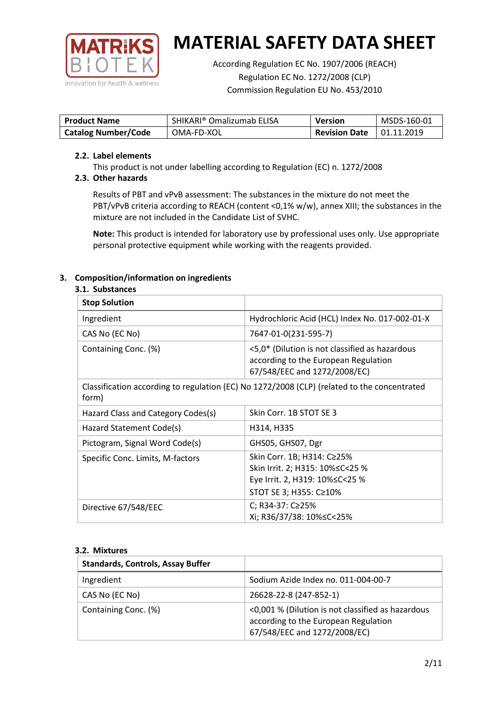

According Regulation EC No. 1907/2006 (REACH) Regulation EC No. 1272/2008 (CLP) Commission Regulation EU No. 453/2010

| <b>Product Name</b>        | SHIKARI® Omalizumab ELISA | <b>Version</b>       | MSDS-160-01       |
|----------------------------|---------------------------|----------------------|-------------------|
| <b>Catalog Number/Code</b> | OMA-FD-XOL                | <b>Revision Date</b> | $\mid$ 01.11.2019 |

## **2.2. Label elements**

This product is not under labelling according to Regulation (EC) n. 1272/2008

# **2.3. Other hazards**

Results of PBT and vPvB assessment: The substances in the mixture do not meet the PBT/vPvB criteria according to REACH (content <0,1% w/w), annex XIII; the substances in the mixture are not included in the Candidate List of SVHC.

**Note:** This product is intended for laboratory use by professional uses only. Use appropriate personal protective equipment while working with the reagents provided.

# **3. Composition/information on ingredients**

## **3.1. Substances**

| <b>Stop Solution</b>               |                                                                                                                           |
|------------------------------------|---------------------------------------------------------------------------------------------------------------------------|
| Ingredient                         | Hydrochloric Acid (HCL) Index No. 017-002-01-X                                                                            |
| CAS No (EC No)                     | 7647-01-0(231-595-7)                                                                                                      |
| Containing Conc. (%)               | <5,0* (Dilution is not classified as hazardous<br>according to the European Regulation<br>67/548/EEC and 1272/2008/EC)    |
| form)                              | Classification according to regulation (EC) No 1272/2008 (CLP) (related to the concentrated                               |
| Hazard Class and Category Codes(s) | Skin Corr. 1B STOT SE 3                                                                                                   |
| Hazard Statement Code(s)           | H314, H335                                                                                                                |
| Pictogram, Signal Word Code(s)     | GHS05, GHS07, Dgr                                                                                                         |
| Specific Conc. Limits, M-factors   | Skin Corr. 1B; H314: C≥25%<br>Skin Irrit. 2; H315: 10%≤C<25 %<br>Eye Irrit. 2, H319: 10%≤C<25 %<br>STOT SE 3; H355: C≥10% |
| Directive 67/548/EEC               | C; R34-37: C≥25%<br>Xi; R36/37/38: 10%≤C<25%                                                                              |

### **3.2. Mixtures**

| <b>Standards, Controls, Assay Buffer</b> |                                                                                                                           |
|------------------------------------------|---------------------------------------------------------------------------------------------------------------------------|
| Ingredient                               | Sodium Azide Index no. 011-004-00-7                                                                                       |
| CAS No (EC No)                           | 26628-22-8 (247-852-1)                                                                                                    |
| Containing Conc. (%)                     | <0,001 % (Dilution is not classified as hazardous<br>according to the European Regulation<br>67/548/EEC and 1272/2008/EC) |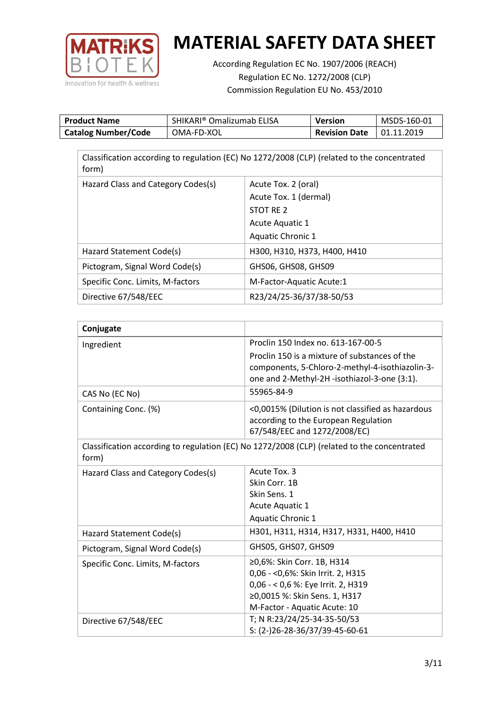

According Regulation EC No. 1907/2006 (REACH) Regulation EC No. 1272/2008 (CLP) Commission Regulation EU No. 453/2010

| <b>Product Name</b>        | SHIKARI® Omalizumab ELISA | Version              | MSDS-160-01 |
|----------------------------|---------------------------|----------------------|-------------|
| <b>Catalog Number/Code</b> | OMA-FD-XOL                | <b>Revision Date</b> | 01.11.2019  |

| Classification according to regulation (EC) No 1272/2008 (CLP) (related to the concentrated<br>form) |                              |  |  |  |
|------------------------------------------------------------------------------------------------------|------------------------------|--|--|--|
| Hazard Class and Category Codes(s)                                                                   | Acute Tox. 2 (oral)          |  |  |  |
|                                                                                                      | Acute Tox. 1 (dermal)        |  |  |  |
|                                                                                                      | STOT RE 2                    |  |  |  |
|                                                                                                      | <b>Acute Aquatic 1</b>       |  |  |  |
|                                                                                                      | Aquatic Chronic 1            |  |  |  |
| Hazard Statement Code(s)                                                                             | H300, H310, H373, H400, H410 |  |  |  |
| Pictogram, Signal Word Code(s)                                                                       | GHS06, GHS08, GHS09          |  |  |  |
| Specific Conc. Limits, M-factors                                                                     | M-Factor-Aquatic Acute:1     |  |  |  |
| Directive 67/548/EEC                                                                                 | R23/24/25-36/37/38-50/53     |  |  |  |

| Conjugate                          |                                                                                                                                                  |
|------------------------------------|--------------------------------------------------------------------------------------------------------------------------------------------------|
| Ingredient                         | Proclin 150 Index no. 613-167-00-5                                                                                                               |
|                                    | Proclin 150 is a mixture of substances of the<br>components, 5-Chloro-2-methyl-4-isothiazolin-3-<br>one and 2-Methyl-2H -isothiazol-3-one (3:1). |
| CAS No (EC No)                     | 55965-84-9                                                                                                                                       |
| Containing Conc. (%)               | <0,0015% (Dilution is not classified as hazardous<br>according to the European Regulation<br>67/548/EEC and 1272/2008/EC)                        |
| form)                              | Classification according to regulation (EC) No 1272/2008 (CLP) (related to the concentrated                                                      |
| Hazard Class and Category Codes(s) | Acute Tox. 3                                                                                                                                     |
|                                    | Skin Corr. 1B                                                                                                                                    |
|                                    | Skin Sens. 1                                                                                                                                     |
|                                    | Acute Aquatic 1                                                                                                                                  |
|                                    | Aquatic Chronic 1                                                                                                                                |
| Hazard Statement Code(s)           | H301, H311, H314, H317, H331, H400, H410                                                                                                         |
| Pictogram, Signal Word Code(s)     | GHS05, GHS07, GHS09                                                                                                                              |
| Specific Conc. Limits, M-factors   | ≥0,6%: Skin Corr. 1B, H314                                                                                                                       |
|                                    | 0,06 - < 0,6%: Skin Irrit. 2, H315                                                                                                               |
|                                    | 0,06 - < 0,6 %: Eye Irrit. 2, H319                                                                                                               |
|                                    | ≥0,0015 %: Skin Sens. 1, H317                                                                                                                    |
|                                    | M-Factor - Aquatic Acute: 10                                                                                                                     |
| Directive 67/548/EEC               | T; N R:23/24/25-34-35-50/53<br>S: (2-)26-28-36/37/39-45-60-61                                                                                    |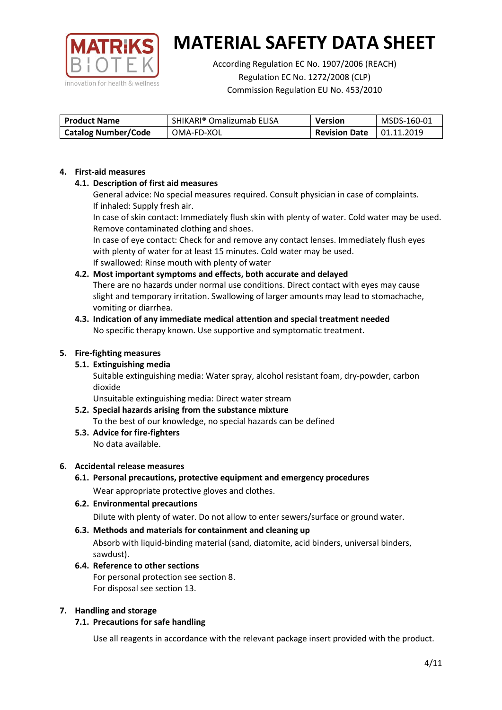

According Regulation EC No. 1907/2006 (REACH) Regulation EC No. 1272/2008 (CLP) Commission Regulation EU No. 453/2010

| <b>Product Name</b>        | SHIKARI® Omalizumab ELISA | Version              | MSDS-160-01 |
|----------------------------|---------------------------|----------------------|-------------|
| <b>Catalog Number/Code</b> | OMA-FD-XOL                | <b>Revision Date</b> | 01.11.2019  |

## **4. First-aid measures**

# **4.1. Description of first aid measures**

General advice: No special measures required. Consult physician in case of complaints. If inhaled: Supply fresh air.

In case of skin contact: Immediately flush skin with plenty of water. Cold water may be used. Remove contaminated clothing and shoes.

In case of eye contact: Check for and remove any contact lenses. Immediately flush eyes with plenty of water for at least 15 minutes. Cold water may be used. If swallowed: Rinse mouth with plenty of water

# **4.2. Most important symptoms and effects, both accurate and delayed**

There are no hazards under normal use conditions. Direct contact with eyes may cause slight and temporary irritation. Swallowing of larger amounts may lead to stomachache, vomiting or diarrhea.

## **4.3. Indication of any immediate medical attention and special treatment needed** No specific therapy known. Use supportive and symptomatic treatment.

## **5. Fire-fighting measures**

# **5.1. Extinguishing media**

Suitable extinguishing media: Water spray, alcohol resistant foam, dry-powder, carbon dioxide

Unsuitable extinguishing media: Direct water stream

#### **5.2. Special hazards arising from the substance mixture** To the best of our knowledge, no special hazards can be defined

**5.3. Advice for fire-fighters** No data available.

### **6. Accidental release measures**

- **6.1. Personal precautions, protective equipment and emergency procedures** Wear appropriate protective gloves and clothes.
- **6.2. Environmental precautions** Dilute with plenty of water. Do not allow to enter sewers/surface or ground water.

### **6.3. Methods and materials for containment and cleaning up**

Absorb with liquid-binding material (sand, diatomite, acid binders, universal binders, sawdust).

**6.4. Reference to other sections** For personal protection see section 8. For disposal see section 13.

### **7. Handling and storage**

# **7.1. Precautions for safe handling**

Use all reagents in accordance with the relevant package insert provided with the product.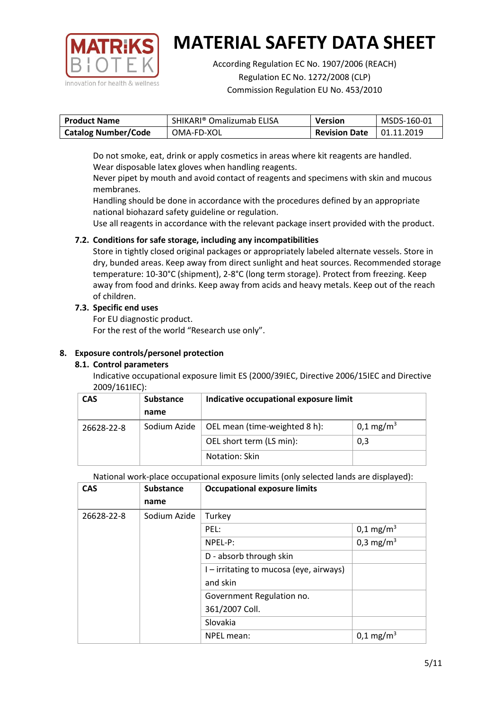

According Regulation EC No. 1907/2006 (REACH) Regulation EC No. 1272/2008 (CLP) Commission Regulation EU No. 453/2010

| <b>Product Name</b>        | SHIKARI® Omalizumab ELISA | <b>Version</b>       | MSDS-160-01 |
|----------------------------|---------------------------|----------------------|-------------|
| <b>Catalog Number/Code</b> | OMA-FD-XOL                | <b>Revision Date</b> | 01.11.2019  |

Do not smoke, eat, drink or apply cosmetics in areas where kit reagents are handled. Wear disposable latex gloves when handling reagents.

Never pipet by mouth and avoid contact of reagents and specimens with skin and mucous membranes.

Handling should be done in accordance with the procedures defined by an appropriate national biohazard safety guideline or regulation.

Use all reagents in accordance with the relevant package insert provided with the product.

# **7.2. Conditions for safe storage, including any incompatibilities**

Store in tightly closed original packages or appropriately labeled alternate vessels. Store in dry, bunded areas. Keep away from direct sunlight and heat sources. Recommended storage temperature: 10-30°C (shipment), 2-8°C (long term storage). Protect from freezing. Keep away from food and drinks. Keep away from acids and heavy metals. Keep out of the reach of children.

# **7.3. Specific end uses**

For EU diagnostic product.

For the rest of the world "Research use only".

# **8. Exposure controls/personel protection**

# **8.1. Control parameters**

Indicative occupational exposure limit ES (2000/39IEC, Directive 2006/15IEC and Directive 2009/161IEC):

| <b>CAS</b> | <b>Substance</b> | Indicative occupational exposure limit |                         |
|------------|------------------|----------------------------------------|-------------------------|
|            | name             |                                        |                         |
| 26628-22-8 | Sodium Azide     | OEL mean (time-weighted 8 h):          | $0,1 \,\mathrm{mg/m^3}$ |
|            |                  | OEL short term (LS min):               | 0,3                     |
|            |                  | Notation: Skin                         |                         |

National work-place occupational exposure limits (only selected lands are displayed):

| <b>CAS</b> | <b>Substance</b> | <b>Occupational exposure limits</b>     |                         |
|------------|------------------|-----------------------------------------|-------------------------|
|            | name             |                                         |                         |
| 26628-22-8 | Sodium Azide     | Turkey                                  |                         |
|            |                  | PEL:                                    | $0,1 \text{ mg/m}^3$    |
|            |                  | NPEL-P:                                 | 0,3 mg/m <sup>3</sup>   |
|            |                  | D - absorb through skin                 |                         |
|            |                  | I – irritating to mucosa (eye, airways) |                         |
|            |                  | and skin                                |                         |
|            |                  | Government Regulation no.               |                         |
|            |                  | 361/2007 Coll.                          |                         |
|            |                  | Slovakia                                |                         |
|            |                  | NPEL mean:                              | $0,1 \,\mathrm{mg/m^3}$ |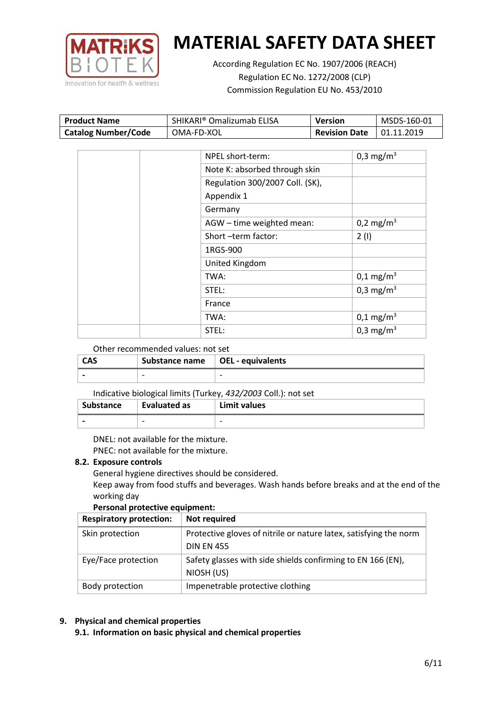

According Regulation EC No. 1907/2006 (REACH) Regulation EC No. 1272/2008 (CLP) Commission Regulation EU No. 453/2010

| <b>Product Name</b>        | SHIKARI® Omalizumab ELISA | Version              | MSDS-160-01 |
|----------------------------|---------------------------|----------------------|-------------|
| <b>Catalog Number/Code</b> | OMA-FD-XOL                | <b>Revision Date</b> | 01.11.2019  |

| NPEL short-term:                | 0,3 mg/m <sup>3</sup> |
|---------------------------------|-----------------------|
| Note K: absorbed through skin   |                       |
| Regulation 300/2007 Coll. (SK), |                       |
| Appendix 1                      |                       |
| Germany                         |                       |
| AGW - time weighted mean:       | 0,2 mg/m <sup>3</sup> |
| Short-term factor:              | 2(1)                  |
| 1RGS-900                        |                       |
| United Kingdom                  |                       |
| TWA:                            | $0,1 \text{ mg/m}^3$  |
| STEL:                           | 0,3 mg/m <sup>3</sup> |
| France                          |                       |
| TWA:                            | $0,1 \text{ mg/m}^3$  |
| STEL:                           | 0,3 mg/m <sup>3</sup> |

## Other recommended values: not set

| <b>CAS</b> | Substance name $\vert$ OEL - equivalents |   |
|------------|------------------------------------------|---|
|            | $\overline{\phantom{0}}$                 | - |

### Indicative biological limits (Turkey, *432/2003* Coll.): not set

| <b>Substance</b> | Evaluated as | Limit values |
|------------------|--------------|--------------|
|                  |              |              |

DNEL: not available for the mixture. PNEC: not available for the mixture.

### **8.2. Exposure controls**

General hygiene directives should be considered.

Keep away from food stuffs and beverages. Wash hands before breaks and at the end of the working day

### **Personal protective equipment:**

| <b>Respiratory protection:</b> | Not required                                                      |
|--------------------------------|-------------------------------------------------------------------|
| Skin protection                | Protective gloves of nitrile or nature latex, satisfying the norm |
|                                | <b>DIN EN 455</b>                                                 |
| Eye/Face protection            | Safety glasses with side shields confirming to EN 166 (EN),       |
|                                | NIOSH (US)                                                        |
| Body protection                | Impenetrable protective clothing                                  |

# **9. Physical and chemical properties**

**9.1. Information on basic physical and chemical properties**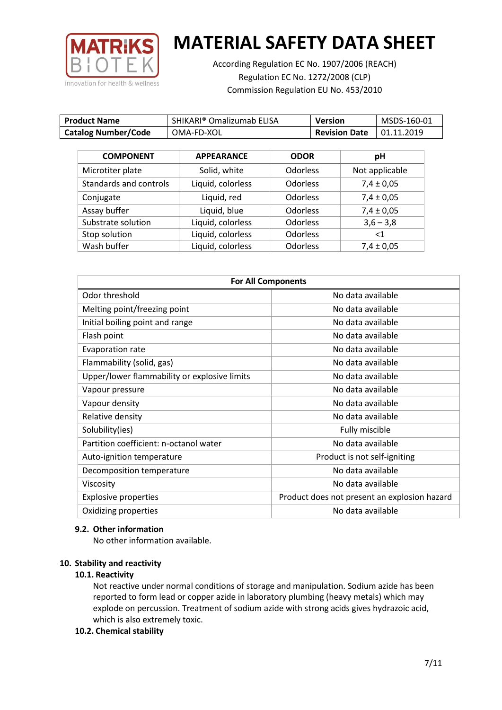

According Regulation EC No. 1907/2006 (REACH) Regulation EC No. 1272/2008 (CLP) Commission Regulation EU No. 453/2010

| <b>Product Name</b>        | SHIKARI <sup>®</sup> Omalizumab ELISA | <b>Version</b>       | MSDS-160-01 |
|----------------------------|---------------------------------------|----------------------|-------------|
| <b>Catalog Number/Code</b> | OMA-FD-XOL                            | <b>Revision Date</b> | 01.11.2019  |

| <b>COMPONENT</b>       | <b>APPEARANCE</b> | <b>ODOR</b>     | pH             |
|------------------------|-------------------|-----------------|----------------|
| Microtiter plate       | Solid, white      | <b>Odorless</b> | Not applicable |
| Standards and controls | Liquid, colorless | <b>Odorless</b> | $7,4 \pm 0,05$ |
| Conjugate              | Liquid, red       | <b>Odorless</b> | $7,4 \pm 0,05$ |
| Assay buffer           | Liquid, blue      | <b>Odorless</b> | $7,4 \pm 0,05$ |
| Substrate solution     | Liquid, colorless | <b>Odorless</b> | $3,6 - 3,8$    |
| Stop solution          | Liquid, colorless | <b>Odorless</b> | $<$ 1          |
| Wash buffer            | Liquid, colorless | <b>Odorless</b> | $7,4 \pm 0,05$ |

| <b>For All Components</b>                    |                                              |  |
|----------------------------------------------|----------------------------------------------|--|
| Odor threshold                               | No data available                            |  |
| Melting point/freezing point                 | No data available                            |  |
| Initial boiling point and range              | No data available                            |  |
| Flash point                                  | No data available                            |  |
| <b>Evaporation rate</b>                      | No data available                            |  |
| Flammability (solid, gas)                    | No data available                            |  |
| Upper/lower flammability or explosive limits | No data available                            |  |
| Vapour pressure                              | No data available                            |  |
| Vapour density                               | No data available                            |  |
| Relative density                             | No data available                            |  |
| Solubility(ies)                              | Fully miscible                               |  |
| Partition coefficient: n-octanol water       | No data available                            |  |
| Auto-ignition temperature                    | Product is not self-igniting                 |  |
| Decomposition temperature                    | No data available                            |  |
| Viscosity                                    | No data available                            |  |
| <b>Explosive properties</b>                  | Product does not present an explosion hazard |  |
| Oxidizing properties                         | No data available                            |  |

### **9.2. Other information**

No other information available.

### **10. Stability and reactivity**

### **10.1. Reactivity**

Not reactive under normal conditions of storage and manipulation. Sodium azide has been reported to form lead or copper azide in laboratory plumbing (heavy metals) which may explode on percussion. Treatment of sodium azide with strong acids gives hydrazoic acid, which is also extremely toxic.

### **10.2. Chemical stability**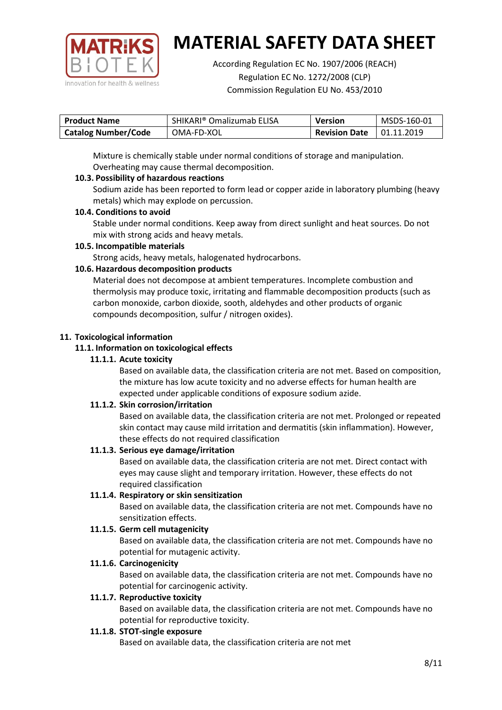

According Regulation EC No. 1907/2006 (REACH) Regulation EC No. 1272/2008 (CLP) Commission Regulation EU No. 453/2010

| <b>Product Name</b>        | SHIKARI® Omalizumab ELISA | <b>Version</b>       | MSDS-160-01 |
|----------------------------|---------------------------|----------------------|-------------|
| <b>Catalog Number/Code</b> | OMA-FD-XOL                | <b>Revision Date</b> | 01.11.2019  |

Mixture is chemically stable under normal conditions of storage and manipulation. Overheating may cause thermal decomposition.

# **10.3. Possibility of hazardous reactions**

Sodium azide has been reported to form lead or copper azide in laboratory plumbing (heavy metals) which may explode on percussion.

## **10.4. Conditions to avoid**

Stable under normal conditions. Keep away from direct sunlight and heat sources. Do not mix with strong acids and heavy metals.

## **10.5. Incompatible materials**

Strong acids, heavy metals, halogenated hydrocarbons.

# **10.6. Hazardous decomposition products**

Material does not decompose at ambient temperatures. Incomplete combustion and thermolysis may produce toxic, irritating and flammable decomposition products (such as carbon monoxide, carbon dioxide, sooth, aldehydes and other products of organic compounds decomposition, sulfur / nitrogen oxides).

## **11. Toxicological information**

## **11.1. Information on toxicological effects**

## **11.1.1. Acute toxicity**

Based on available data, the classification criteria are not met. Based on composition, the mixture has low acute toxicity and no adverse effects for human health are expected under applicable conditions of exposure sodium azide.

# **11.1.2. Skin corrosion/irritation**

Based on available data, the classification criteria are not met. Prolonged or repeated skin contact may cause mild irritation and dermatitis (skin inflammation). However, these effects do not required classification

# **11.1.3. Serious eye damage/irritation**

Based on available data, the classification criteria are not met. Direct contact with eyes may cause slight and temporary irritation. However, these effects do not required classification

### **11.1.4. Respiratory or skin sensitization**

Based on available data, the classification criteria are not met. Compounds have no sensitization effects.

# **11.1.5. Germ cell mutagenicity**

Based on available data, the classification criteria are not met. Compounds have no potential for mutagenic activity.

# **11.1.6. Carcinogenicity**

Based on available data, the classification criteria are not met. Compounds have no potential for carcinogenic activity.

### **11.1.7. Reproductive toxicity**

Based on available data, the classification criteria are not met. Compounds have no potential for reproductive toxicity.

### **11.1.8. STOT-single exposure**

Based on available data, the classification criteria are not met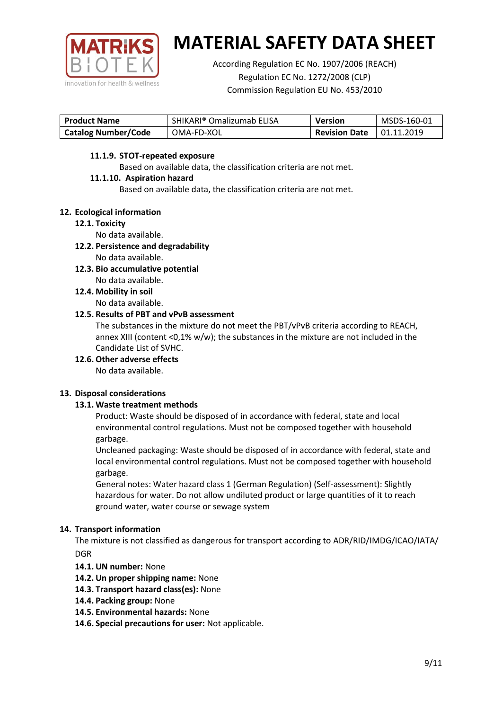

According Regulation EC No. 1907/2006 (REACH) Regulation EC No. 1272/2008 (CLP) Commission Regulation EU No. 453/2010

| <b>Product Name</b>        | SHIKARI® Omalizumab ELISA | <b>Version</b>       | MSDS-160-01 |
|----------------------------|---------------------------|----------------------|-------------|
| <b>Catalog Number/Code</b> | OMA-FD-XOL                | <b>Revision Date</b> | 01.11.2019  |

## **11.1.9. STOT-repeated exposure**

Based on available data, the classification criteria are not met.

## **11.1.10. Aspiration hazard**

Based on available data, the classification criteria are not met.

## **12. Ecological information**

### **12.1. Toxicity**

No data available.

- **12.2. Persistence and degradability** No data available.
- **12.3. Bio accumulative potential** No data available.
- **12.4. Mobility in soil** No data available.

## **12.5. Results of PBT and vPvB assessment**

The substances in the mixture do not meet the PBT/vPvB criteria according to REACH, annex XIII (content <0,1% w/w); the substances in the mixture are not included in the Candidate List of SVHC.

**12.6. Other adverse effects**

No data available.

# **13. Disposal considerations**

# **13.1. Waste treatment methods**

Product: Waste should be disposed of in accordance with federal, state and local environmental control regulations. Must not be composed together with household garbage.

Uncleaned packaging: Waste should be disposed of in accordance with federal, state and local environmental control regulations. Must not be composed together with household garbage.

General notes: Water hazard class 1 (German Regulation) (Self-assessment): Slightly hazardous for water. Do not allow undiluted product or large quantities of it to reach ground water, water course or sewage system

# **14. Transport information**

The mixture is not classified as dangerous for transport according to ADR/RID/IMDG/ICAO/IATA/ DGR

- **14.1. UN number:** None
- **14.2. Un proper shipping name:** None
- **14.3. Transport hazard class(es):** None
- **14.4. Packing group:** None
- **14.5. Environmental hazards:** None
- **14.6. Special precautions for user:** Not applicable.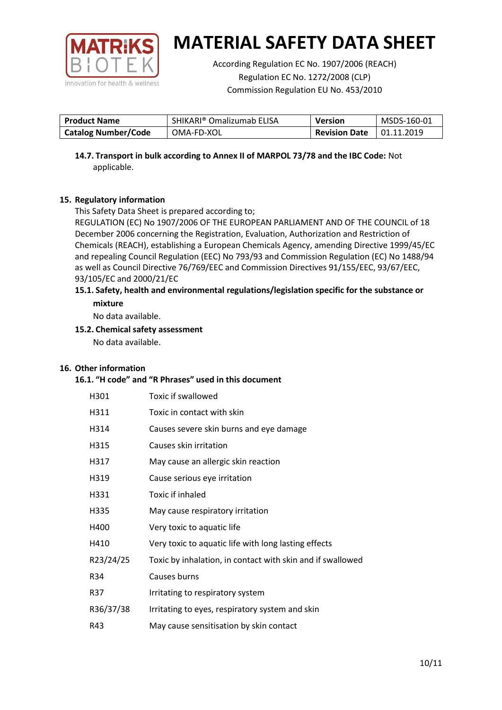

According Regulation EC No. 1907/2006 (REACH) Regulation EC No. 1272/2008 (CLP) Commission Regulation EU No. 453/2010

| <b>Product Name</b>        | SHIKARI® Omalizumab ELISA | <b>Version</b>       | MSDS-160-01       |
|----------------------------|---------------------------|----------------------|-------------------|
| <b>Catalog Number/Code</b> | OMA-FD-XOL                | <b>Revision Date</b> | $\mid$ 01.11.2019 |

**14.7. Transport in bulk according to Annex II of MARPOL 73/78 and the IBC Code:** Not applicable.

# **15. Regulatory information**

This Safety Data Sheet is prepared according to;

REGULATION (EC) No 1907/2006 OF THE EUROPEAN PARLIAMENT AND OF THE COUNCIL of 18 December 2006 concerning the Registration, Evaluation, Authorization and Restriction of Chemicals (REACH), establishing a European Chemicals Agency, amending Directive 1999/45/EC and repealing Council Regulation (EEC) No 793/93 and Commission Regulation (EC) No 1488/94 as well as Council Directive 76/769/EEC and Commission Directives 91/155/EEC, 93/67/EEC, 93/105/EC and 2000/21/EC

### **15.1. Safety, health and environmental regulations/legislation specific for the substance or mixture**

No data available.

# **15.2. Chemical safety assessment**

No data available.

# **16. Other information**

### **16.1. "H code" and "R Phrases" used in this document**

| H301      | Toxic if swallowed                                         |
|-----------|------------------------------------------------------------|
| H311      | Toxic in contact with skin                                 |
| H314      | Causes severe skin burns and eye damage                    |
| H315      | Causes skin irritation                                     |
| H317      | May cause an allergic skin reaction                        |
| H319      | Cause serious eye irritation                               |
| H331      | Toxic if inhaled                                           |
| H335      | May cause respiratory irritation                           |
| H400      | Very toxic to aquatic life                                 |
| H410      | Very toxic to aquatic life with long lasting effects       |
| R23/24/25 | Toxic by inhalation, in contact with skin and if swallowed |
| R34       | Causes burns                                               |
| R37       | Irritating to respiratory system                           |
| R36/37/38 | Irritating to eyes, respiratory system and skin            |
| R43       | May cause sensitisation by skin contact                    |
|           |                                                            |